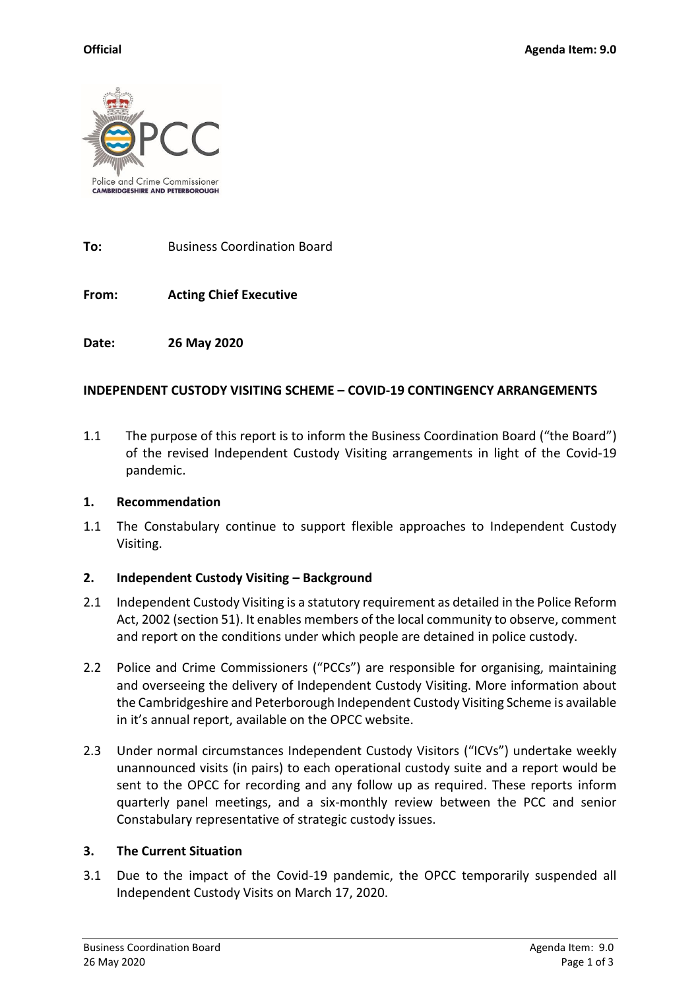

**To:** Business Coordination Board

**From: Acting Chief Executive**

**Date: 26 May 2020**

## **INDEPENDENT CUSTODY VISITING SCHEME – COVID-19 CONTINGENCY ARRANGEMENTS**

1.1 The purpose of this report is to inform the Business Coordination Board ("the Board") of the revised Independent Custody Visiting arrangements in light of the Covid-19 pandemic.

#### **1. Recommendation**

1.1 The Constabulary continue to support flexible approaches to Independent Custody Visiting.

#### **2. Independent Custody Visiting – Background**

- 2.1 Independent Custody Visiting is a statutory requirement as detailed in the Police Reform Act, 2002 (section 51). It enables members of the local community to observe, comment and report on the conditions under which people are detained in police custody.
- 2.2 Police and Crime Commissioners ("PCCs") are responsible for organising, maintaining and overseeing the delivery of Independent Custody Visiting. More information about the Cambridgeshire and Peterborough Independent Custody Visiting Scheme is available in it's annual report, available on the OPCC website.
- 2.3 Under normal circumstances Independent Custody Visitors ("ICVs") undertake weekly unannounced visits (in pairs) to each operational custody suite and a report would be sent to the OPCC for recording and any follow up as required. These reports inform quarterly panel meetings, and a six-monthly review between the PCC and senior Constabulary representative of strategic custody issues.

#### **3. The Current Situation**

3.1 Due to the impact of the Covid-19 pandemic, the OPCC temporarily suspended all Independent Custody Visits on March 17, 2020.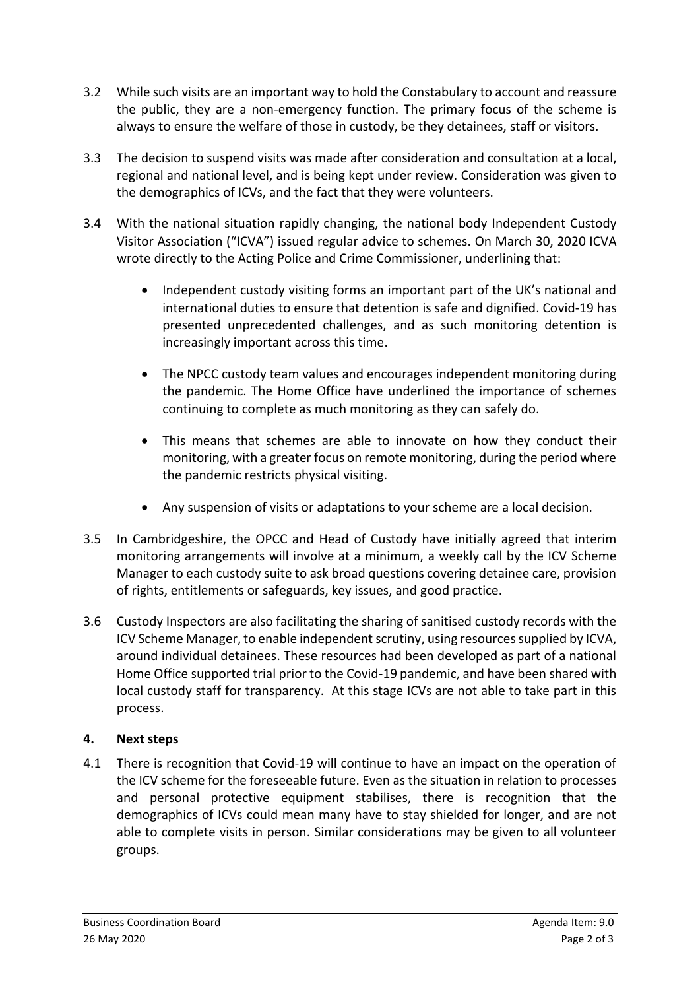- 3.2 While such visits are an important way to hold the Constabulary to account and reassure the public, they are a non-emergency function. The primary focus of the scheme is always to ensure the welfare of those in custody, be they detainees, staff or visitors.
- 3.3 The decision to suspend visits was made after consideration and consultation at a local, regional and national level, and is being kept under review. Consideration was given to the demographics of ICVs, and the fact that they were volunteers.
- 3.4 With the national situation rapidly changing, the national body Independent Custody Visitor Association ("ICVA") issued regular advice to schemes. On March 30, 2020 ICVA wrote directly to the Acting Police and Crime Commissioner, underlining that:
	- Independent custody visiting forms an important part of the UK's national and international duties to ensure that detention is safe and dignified. Covid-19 has presented unprecedented challenges, and as such monitoring detention is increasingly important across this time.
	- The NPCC custody team values and encourages independent monitoring during the pandemic. The Home Office have underlined the importance of schemes continuing to complete as much monitoring as they can safely do.
	- This means that schemes are able to innovate on how they conduct their monitoring, with a greater focus on remote monitoring, during the period where the pandemic restricts physical visiting.
	- Any suspension of visits or adaptations to your scheme are a local decision.
- 3.5 In Cambridgeshire, the OPCC and Head of Custody have initially agreed that interim monitoring arrangements will involve at a minimum, a weekly call by the ICV Scheme Manager to each custody suite to ask broad questions covering detainee care, provision of rights, entitlements or safeguards, key issues, and good practice.
- 3.6 Custody Inspectors are also facilitating the sharing of sanitised custody records with the ICV Scheme Manager, to enable independent scrutiny, using resources supplied by ICVA, around individual detainees. These resources had been developed as part of a national Home Office supported trial prior to the Covid-19 pandemic, and have been shared with local custody staff for transparency. At this stage ICVs are not able to take part in this process.

# **4. Next steps**

4.1 There is recognition that Covid-19 will continue to have an impact on the operation of the ICV scheme for the foreseeable future. Even as the situation in relation to processes and personal protective equipment stabilises, there is recognition that the demographics of ICVs could mean many have to stay shielded for longer, and are not able to complete visits in person. Similar considerations may be given to all volunteer groups.